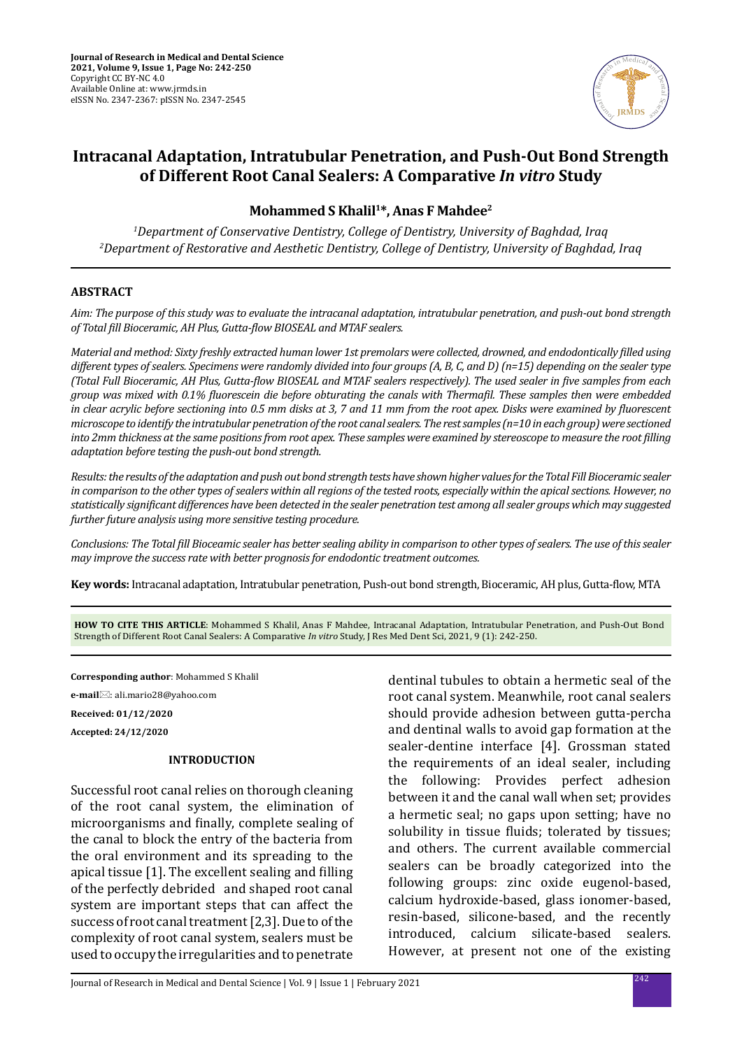

# **Intracanal Adaptation, Intratubular Penetration, and Push-Out Bond Strength of Different Root Canal Sealers: A Comparative** *In vitro* **Study**

# **Mohammed S Khalil1\*, Anas F Mahdee2**

*1 Department of Conservative Dentistry, College of Dentistry, University of Baghdad, Iraq 2 Department of Restorative and Aesthetic Dentistry, College of Dentistry, University of Baghdad, Iraq*

#### **ABSTRACT**

*Aim: The purpose of this study was to evaluate the intracanal adaptation, intratubular penetration, and push-out bond strength of Total fill Bioceramic, AH Plus, Gutta-flow BIOSEAL and MTAF sealers.*

*Material and method: Sixty freshly extracted human lower 1st premolars were collected, drowned, and endodontically filled using different types of sealers. Specimens were randomly divided into four groups (A, B, C, and D) (n=15) depending on the sealer type (Total Full Bioceramic, AH Plus, Gutta-flow BIOSEAL and MTAF sealers respectively). The used sealer in five samples from each group was mixed with 0.1% fluorescein die before obturating the canals with Thermafil. These samples then were embedded in clear acrylic before sectioning into 0.5 mm disks at 3, 7 and 11 mm from the root apex. Disks were examined by fluorescent microscope to identify the intratubular penetration of the root canal sealers. The rest samples (n=10 in each group) were sectioned into 2mm thickness at the same positions from root apex. These samples were examined by stereoscope to measure the root filling adaptation before testing the push-out bond strength.*

*Results: the results of the adaptation and push out bond strength tests have shown higher values for the Total Fill Bioceramic sealer in comparison to the other types of sealers within all regions of the tested roots, especially within the apical sections. However, no statistically significant differences have been detected in the sealer penetration test among all sealer groups which may suggested further future analysis using more sensitive testing procedure.* 

*Conclusions: The Total fill Bioceamic sealer has better sealing ability in comparison to other types of sealers. The use of this sealer may improve the success rate with better prognosis for endodontic treatment outcomes.*

**Key words:** Intracanal adaptation, Intratubular penetration, Push-out bond strength, Bioceramic, AH plus, Gutta-flow, MTA

**HOW TO CITE THIS ARTICLE**: Mohammed S Khalil, Anas F Mahdee, Intracanal Adaptation, Intratubular Penetration, and Push-Out Bond Strength of Different Root Canal Sealers: A Comparative *In vitro* Study, J Res Med Dent Sci, 2021, 9 (1): 242-250.

**Corresponding author**: Mohammed S Khalil **e-mail**⊠: ali.mario28@yahoo.com **Received: 01/12/2020 Accepted: 24/12/2020**

## **INTRODUCTION**

Successful root canal relies on thorough cleaning of the root canal system, the elimination of microorganisms and finally, complete sealing of the canal to block the entry of the bacteria from the oral environment and its spreading to the apical tissue [1]. The excellent sealing and filling of the perfectly debrided and shaped root canal system are important steps that can affect the success of root canal treatment [2,3]. Due to of the complexity of root canal system, sealers must be used to occupy the irregularities and to penetrate

dentinal tubules to obtain a hermetic seal of the root canal system. Meanwhile, root canal sealers should provide adhesion between gutta-percha and dentinal walls to avoid gap formation at the sealer-dentine interface [4]. Grossman stated the requirements of an ideal sealer, including the following: Provides perfect adhesion between it and the canal wall when set; provides a hermetic seal; no gaps upon setting; have no solubility in tissue fluids; tolerated by tissues; and others. The current available commercial sealers can be broadly categorized into the following groups: zinc oxide eugenol-based, calcium hydroxide-based, glass ionomer-based, resin-based, silicone-based, and the recently introduced, calcium silicate-based sealers. However, at present not one of the existing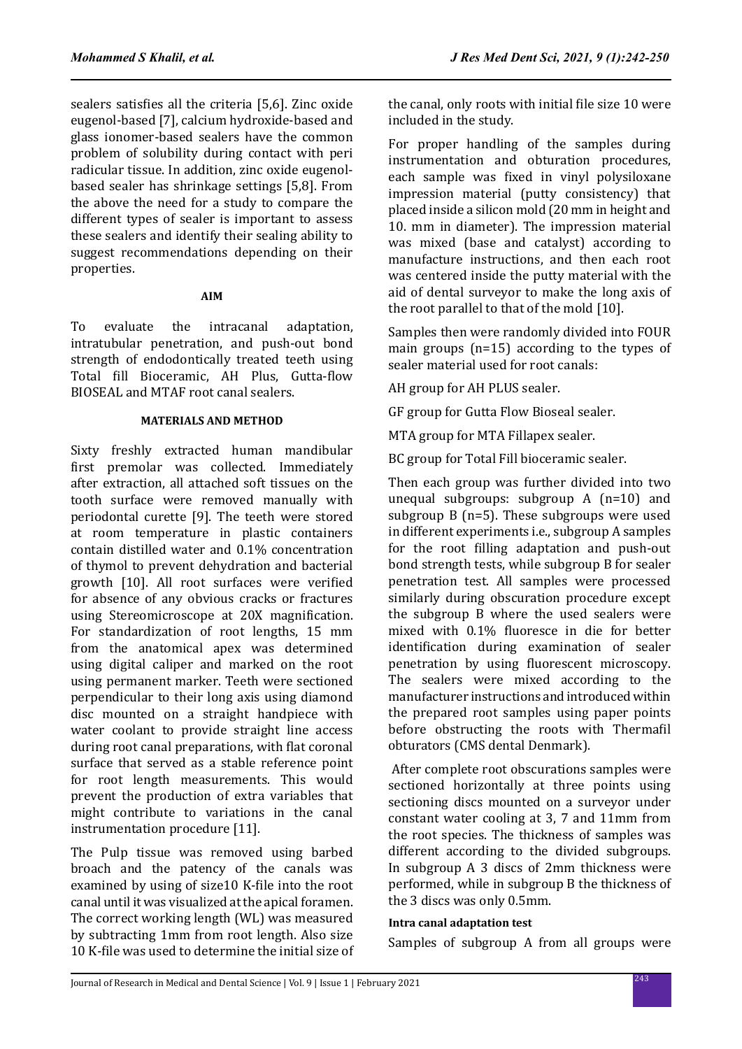sealers satisfies all the criteria [5,6]. Zinc oxide eugenol-based [7], calcium hydroxide-based and glass ionomer-based sealers have the common problem of solubility during contact with peri radicular tissue. In addition, zinc oxide eugenolbased sealer has shrinkage settings [5,8]. From the above the need for a study to compare the different types of sealer is important to assess these sealers and identify their sealing ability to suggest recommendations depending on their properties.

#### **AIM**

To evaluate the intracanal adaptation, intratubular penetration, and push-out bond strength of endodontically treated teeth using Total fill Bioceramic, AH Plus, Gutta-flow BIOSEAL and MTAF root canal sealers.

### **MATERIALS AND METHOD**

Sixty freshly extracted human mandibular first premolar was collected. Immediately after extraction, all attached soft tissues on the tooth surface were removed manually with periodontal curette [9]. The teeth were stored at room temperature in plastic containers contain distilled water and 0.1% concentration of thymol to prevent dehydration and bacterial growth [10]. All root surfaces were verified for absence of any obvious cracks or fractures using Stereomicroscope at 20X magnification. For standardization of root lengths, 15 mm from the anatomical apex was determined using digital caliper and marked on the root using permanent marker. Teeth were sectioned perpendicular to their long axis using diamond disc mounted on a straight handpiece with water coolant to provide straight line access during root canal preparations, with flat coronal surface that served as a stable reference point for root length measurements. This would prevent the production of extra variables that might contribute to variations in the canal instrumentation procedure [11].

The Pulp tissue was removed using barbed broach and the patency of the canals was examined by using of size10 K-file into the root canal until it was visualized at the apical foramen. The correct working length (WL) was measured by subtracting 1mm from root length. Also size 10 K-file was used to determine the initial size of the canal, only roots with initial file size 10 were included in the study.

For proper handling of the samples during instrumentation and obturation procedures, each sample was fixed in vinyl polysiloxane impression material (putty consistency) that placed inside a silicon mold (20 mm in height and 10. mm in diameter). The impression material was mixed (base and catalyst) according to manufacture instructions, and then each root was centered inside the putty material with the aid of dental surveyor to make the long axis of the root parallel to that of the mold [10].

Samples then were randomly divided into FOUR main groups (n=15) according to the types of sealer material used for root canals:

AH group for AH PLUS sealer.

GF group for Gutta Flow Bioseal sealer.

MTA group for MTA Fillapex sealer.

BC group for Total Fill bioceramic sealer.

Then each group was further divided into two unequal subgroups: subgroup A (n=10) and subgroup B (n=5). These subgroups were used in different experiments i.e., subgroup A samples for the root filling adaptation and push-out bond strength tests, while subgroup B for sealer penetration test. All samples were processed similarly during obscuration procedure except the subgroup B where the used sealers were mixed with 0.1% fluoresce in die for better identification during examination of sealer penetration by using fluorescent microscopy. The sealers were mixed according to the manufacturer instructions and introduced within the prepared root samples using paper points before obstructing the roots with Thermafil obturators (CMS dental Denmark).

 After complete root obscurations samples were sectioned horizontally at three points using sectioning discs mounted on a surveyor under constant water cooling at 3, 7 and 11mm from the root species. The thickness of samples was different according to the divided subgroups. In subgroup A 3 discs of 2mm thickness were performed, while in subgroup B the thickness of the 3 discs was only 0.5mm.

## **Intra canal adaptation test**

Samples of subgroup A from all groups were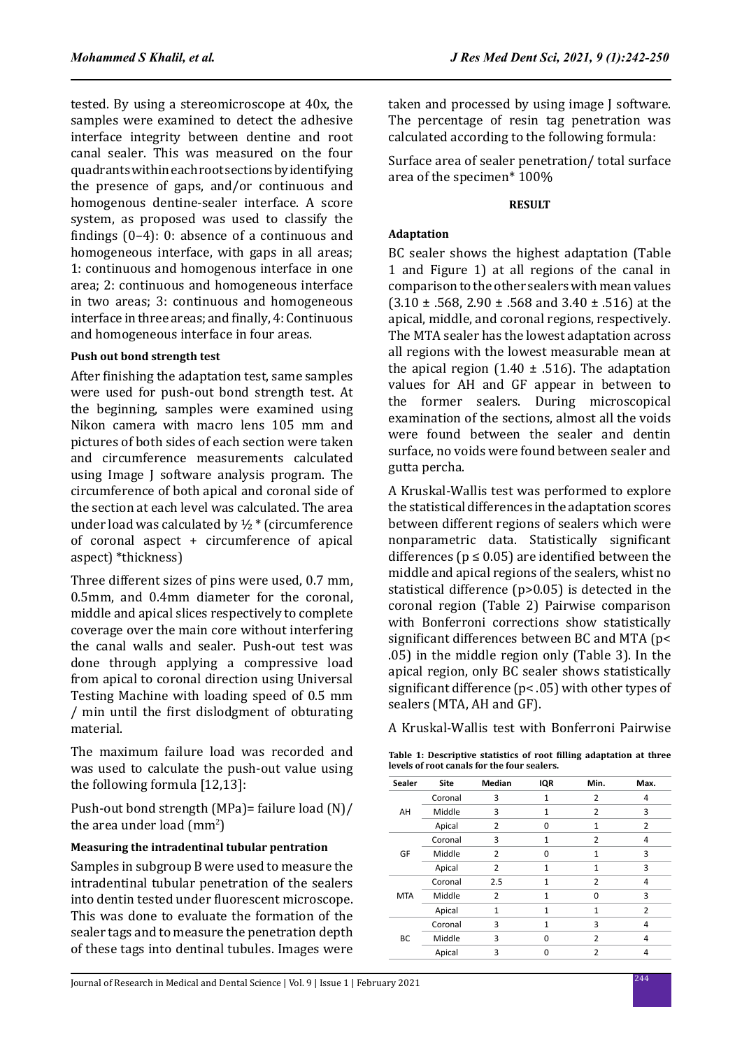tested. By using a stereomicroscope at 40x, the samples were examined to detect the adhesive interface integrity between dentine and root canal sealer. This was measured on the four quadrants within each root sections by identifying the presence of gaps, and/or continuous and homogenous dentine-sealer interface. A score system, as proposed was used to classify the findings (0–4): 0: absence of a continuous and homogeneous interface, with gaps in all areas; 1: continuous and homogenous interface in one area; 2: continuous and homogeneous interface in two areas; 3: continuous and homogeneous interface in three areas; and finally, 4: Continuous and homogeneous interface in four areas.

#### **Push out bond strength test**

After finishing the adaptation test, same samples were used for push-out bond strength test. At the beginning, samples were examined using Nikon camera with macro lens 105 mm and pictures of both sides of each section were taken and circumference measurements calculated using Image J software analysis program. The circumference of both apical and coronal side of the section at each level was calculated. The area under load was calculated by  $\frac{1}{2}$  \* (circumference of coronal aspect + circumference of apical aspect) \*thickness)

Three different sizes of pins were used, 0.7 mm, 0.5mm, and 0.4mm diameter for the coronal, middle and apical slices respectively to complete coverage over the main core without interfering the canal walls and sealer. Push-out test was done through applying a compressive load from apical to coronal direction using Universal Testing Machine with loading speed of 0.5 mm / min until the first dislodgment of obturating material.

The maximum failure load was recorded and was used to calculate the push-out value using the following formula [12,13]:

Push-out bond strength (MPa)= failure load (N)/ the area under load  $\text{(mm$^2$)}$ 

#### **Measuring the intradentinal tubular pentration**

Samples in subgroup B were used to measure the intradentinal tubular penetration of the sealers into dentin tested under fluorescent microscope. This was done to evaluate the formation of the sealer tags and to measure the penetration depth of these tags into dentinal tubules. Images were taken and processed by using image J software. The percentage of resin tag penetration was calculated according to the following formula:

Surface area of sealer penetration/ total surface area of the specimen\* 100%

#### **RESULT**

## **Adaptation**

BC sealer shows the highest adaptation (Table 1 and Figure 1) at all regions of the canal in comparison to the other sealers with mean values  $(3.10 \pm .568, 2.90 \pm .568$  and  $3.40 \pm .516$  at the apical, middle, and coronal regions, respectively. The MTA sealer has the lowest adaptation across all regions with the lowest measurable mean at the apical region  $(1.40 \pm .516)$ . The adaptation values for AH and GF appear in between to<br>the former sealers. During microscopical former sealers. During microscopical examination of the sections, almost all the voids were found between the sealer and dentin surface, no voids were found between sealer and gutta percha.

A Kruskal-Wallis test was performed to explore the statistical differences in the adaptation scores between different regions of sealers which were nonparametric data. Statistically significant differences ( $p \le 0.05$ ) are identified between the middle and apical regions of the sealers, whist no statistical difference (p>0.05) is detected in the coronal region (Table 2) Pairwise comparison with Bonferroni corrections show statistically significant differences between BC and MTA (p< .05) in the middle region only (Table 3). In the apical region, only BC sealer shows statistically significant difference (p< .05) with other types of sealers (MTA, AH and GF).

A Kruskal-Wallis test with Bonferroni Pairwise

**Table 1: Descriptive statistics of root filling adaptation at three levels of root canals for the four sealers.**

| <b>Sealer</b> | <b>Site</b> | Median         | IQR          | Min.           | Max.           |
|---------------|-------------|----------------|--------------|----------------|----------------|
| AH            | Coronal     | 3              | 1            | 2              | 4              |
|               | Middle      | 3              | 1            | $\overline{2}$ | 3              |
|               | Apical      | $\overline{2}$ | O            | 1              | $\overline{2}$ |
|               | Coronal     | 3              | $\mathbf{1}$ | 2              | 4              |
| GF            | Middle      | $\overline{2}$ | 0            | $\mathbf{1}$   | 3              |
|               | Apical      | 2              | 1            | 1              | 3              |
| <b>MTA</b>    | Coronal     | 2.5            | 1            | $\overline{2}$ | 4              |
|               | Middle      | $\overline{2}$ | 1            | ŋ              | 3              |
|               | Apical      | 1              | 1            | 1              | $\overline{2}$ |
| BC            | Coronal     | 3              | 1            | 3              | 4              |
|               | Middle      | 3              | 0            | 2              | 4              |
|               | Apical      | 3              | n            | $\overline{2}$ |                |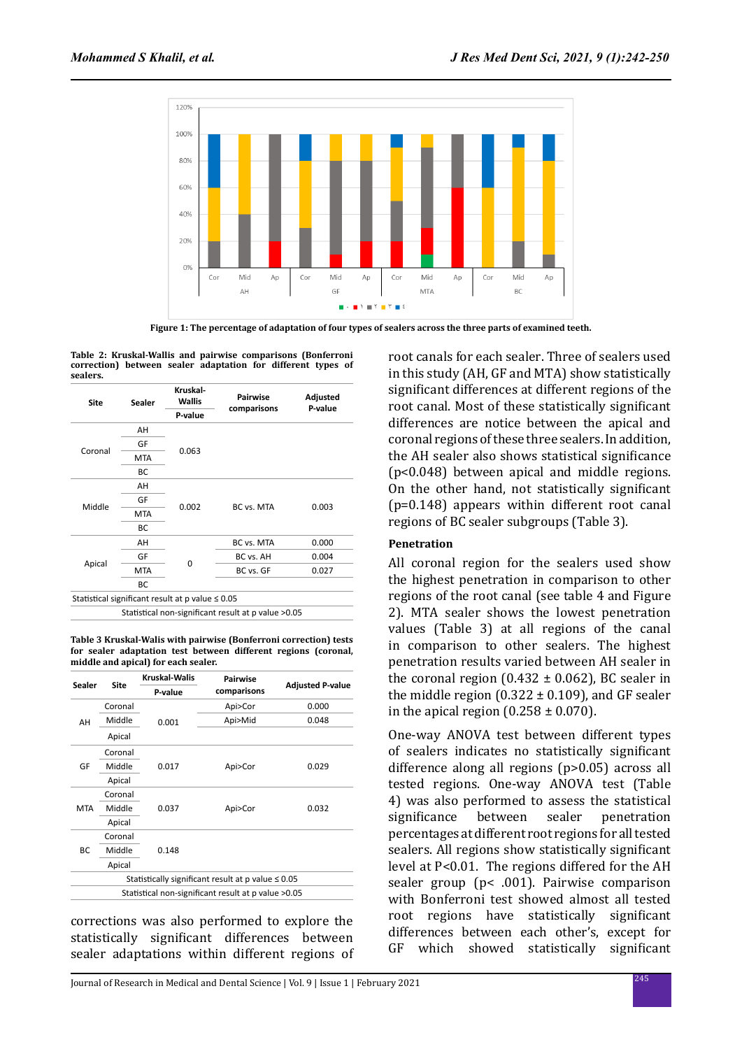

**Figure 1: The percentage of adaptation of four types of sealers across the three parts of examined teeth.**

**Table 2: Kruskal-Wallis and pairwise comparisons (Bonferroni correction) between sealer adaptation for different types of sealers.**

| <b>Site</b> | <b>Sealer</b> | Kruskal-<br><b>Wallis</b>                             | Pairwise                                             | Adjusted |  |
|-------------|---------------|-------------------------------------------------------|------------------------------------------------------|----------|--|
|             | P-value       |                                                       | comparisons                                          | P-value  |  |
|             | AH            |                                                       |                                                      |          |  |
|             | GF            |                                                       |                                                      |          |  |
| Coronal     | <b>MTA</b>    | 0.063                                                 |                                                      |          |  |
|             | BC            |                                                       |                                                      |          |  |
|             | AH            |                                                       |                                                      |          |  |
|             | GF            |                                                       | BC vs. MTA                                           | 0.003    |  |
| Middle      | <b>MTA</b>    | 0.002                                                 |                                                      |          |  |
|             | BC            |                                                       |                                                      |          |  |
|             | AH            |                                                       | BC vs. MTA                                           | 0.000    |  |
|             | GF            | $\Omega$                                              | BC vs. AH                                            | 0.004    |  |
| Apical      | <b>MTA</b>    |                                                       | BC vs. GF                                            | 0.027    |  |
|             | ВC            |                                                       |                                                      |          |  |
|             |               | Statistical significant result at p value $\leq 0.05$ |                                                      |          |  |
|             |               |                                                       | Statistical non-significant result at p value > 0.05 |          |  |

**Table 3 Kruskal-Walis with pairwise (Bonferroni correction) tests for sealer adaptation test between different regions (coronal, middle and apical) for each sealer.**

| <b>Sealer</b>                                           | Site    | Kruskal-Walis | <b>Pairwise</b> | <b>Adjusted P-value</b> |  |  |  |
|---------------------------------------------------------|---------|---------------|-----------------|-------------------------|--|--|--|
|                                                         |         | P-value       | comparisons     |                         |  |  |  |
|                                                         | Coronal |               | Api>Cor         | 0.000                   |  |  |  |
| AH                                                      | Middle  | 0.001         | Api>Mid         | 0.048                   |  |  |  |
|                                                         | Apical  |               |                 |                         |  |  |  |
|                                                         | Coronal | 0.017         |                 |                         |  |  |  |
| GF                                                      | Middle  |               | Api>Cor         | 0.029                   |  |  |  |
|                                                         | Apical  |               |                 |                         |  |  |  |
|                                                         | Coronal | 0.037         | Api>Cor         | 0.032                   |  |  |  |
| <b>MTA</b>                                              | Middle  |               |                 |                         |  |  |  |
|                                                         | Apical  |               |                 |                         |  |  |  |
|                                                         | Coronal |               |                 |                         |  |  |  |
| BC                                                      | Middle  | 0.148         |                 |                         |  |  |  |
|                                                         | Apical  |               |                 |                         |  |  |  |
| Statistically significant result at p value $\leq 0.05$ |         |               |                 |                         |  |  |  |
| Statistical non-significant result at p value >0.05     |         |               |                 |                         |  |  |  |

corrections was also performed to explore the statistically significant differences between sealer adaptations within different regions of root canals for each sealer. Three of sealers used in this study (AH, GF and MTA) show statistically significant differences at different regions of the root canal. Most of these statistically significant differences are notice between the apical and coronal regions of these three sealers. In addition, the AH sealer also shows statistical significance (p<0.048) between apical and middle regions. On the other hand, not statistically significant (p=0.148) appears within different root canal regions of BC sealer subgroups (Table 3).

# **Penetration**

All coronal region for the sealers used show the highest penetration in comparison to other regions of the root canal (see table 4 and Figure 2). MTA sealer shows the lowest penetration values (Table 3) at all regions of the canal in comparison to other sealers. The highest penetration results varied between AH sealer in the coronal region  $(0.432 \pm 0.062)$ , BC sealer in the middle region  $(0.322 \pm 0.109)$ , and GF sealer in the apical region  $(0.258 \pm 0.070)$ .

One-way ANOVA test between different types of sealers indicates no statistically significant difference along all regions (p>0.05) across all tested regions. One-way ANOVA test (Table 4) was also performed to assess the statistical<br>significance between sealer penetration penetration percentages at different root regions for all tested sealers. All regions show statistically significant level at P<0.01. The regions differed for the AH sealer group (p< .001). Pairwise comparison with Bonferroni test showed almost all tested root regions have statistically significant differences between each other's, except for GF which showed statistically significant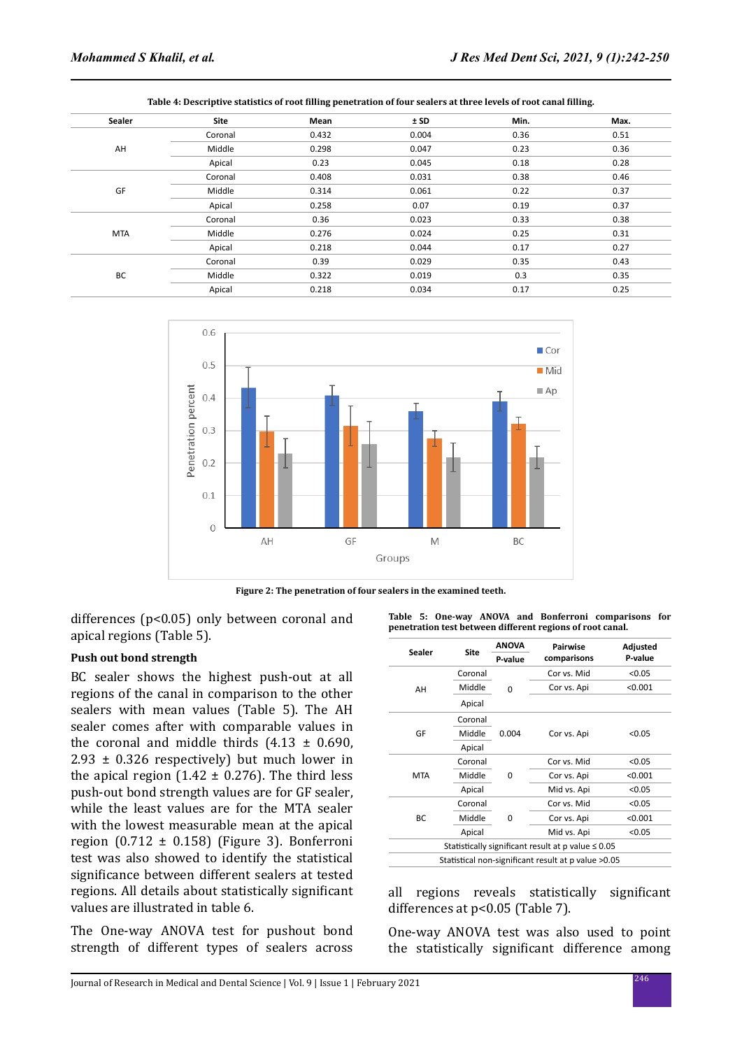|        |         | --    |       |      |      |
|--------|---------|-------|-------|------|------|
| Sealer | Site    | Mean  | ± SD  | Min. | Max. |
|        | Coronal | 0.432 | 0.004 | 0.36 | 0.51 |
| AH     | Middle  | 0.298 | 0.047 | 0.23 | 0.36 |
|        | Apical  | 0.23  | 0.045 | 0.18 | 0.28 |
|        | Coronal | 0.408 | 0.031 | 0.38 | 0.46 |
| GF     | Middle  | 0.314 | 0.061 | 0.22 | 0.37 |
|        | Apical  | 0.258 | 0.07  | 0.19 | 0.37 |
|        | Coronal | 0.36  | 0.023 | 0.33 | 0.38 |
| MTA    | Middle  | 0.276 | 0.024 | 0.25 | 0.31 |
|        | Apical  | 0.218 | 0.044 | 0.17 | 0.27 |
|        | Coronal | 0.39  | 0.029 | 0.35 | 0.43 |
| BC     | Middle  | 0.322 | 0.019 | 0.3  | 0.35 |
|        | Apical  | 0.218 | 0.034 | 0.17 | 0.25 |
|        |         |       |       |      |      |





**Figure 2: The penetration of four sealers in the examined teeth.**

differences (p<0.05) only between coronal and apical regions (Table 5).

#### **Push out bond strength**

BC sealer shows the highest push-out at all regions of the canal in comparison to the other sealers with mean values (Table 5). The AH sealer comes after with comparable values in the coronal and middle thirds  $(4.13 \pm 0.690,$  $2.93 \pm 0.326$  respectively) but much lower in the apical region (1.42  $\pm$  0.276). The third less push-out bond strength values are for GF sealer, while the least values are for the MTA sealer with the lowest measurable mean at the apical region  $(0.712 \pm 0.158)$  (Figure 3). Bonferroni test was also showed to identify the statistical significance between different sealers at tested regions. All details about statistically significant values are illustrated in table 6.

The One-way ANOVA test for pushout bond strength of different types of sealers across **Table 5: One-way ANOVA and Bonferroni comparisons for penetration test between different regions of root canal.**

|            | <b>Site</b> | <b>ANOVA</b> | <b>Pairwise</b>                                         | Adjusted |
|------------|-------------|--------------|---------------------------------------------------------|----------|
| Sealer     |             | P-value      | comparisons                                             | P-value  |
|            | Coronal     |              | Cor vs. Mid                                             | < 0.05   |
| AH         | Middle      | 0            | Cor vs. Api                                             | < 0.001  |
|            | Apical      |              |                                                         |          |
|            | Coronal     |              |                                                         |          |
| GF         | Middle      | 0.004        | Cor vs. Api                                             | < 0.05   |
|            | Apical      |              |                                                         |          |
|            | Coronal     |              | Cor vs. Mid                                             | < 0.05   |
| <b>MTA</b> | Middle      | 0            | Cor vs. Api                                             | < 0.001  |
|            | Apical      |              | Mid vs. Api                                             | < 0.05   |
|            | Coronal     |              | Cor vs. Mid                                             | < 0.05   |
| <b>BC</b>  | Middle      | 0            | Cor vs. Api                                             | < 0.001  |
|            | Apical      |              | Mid vs. Api                                             | < 0.05   |
|            |             |              | Statistically significant result at p value $\leq 0.05$ |          |
|            |             |              | Statistical non-significant result at p value > 0.05    |          |

all regions reveals statistically significant differences at p<0.05 (Table 7).

One-way ANOVA test was also used to point the statistically significant difference among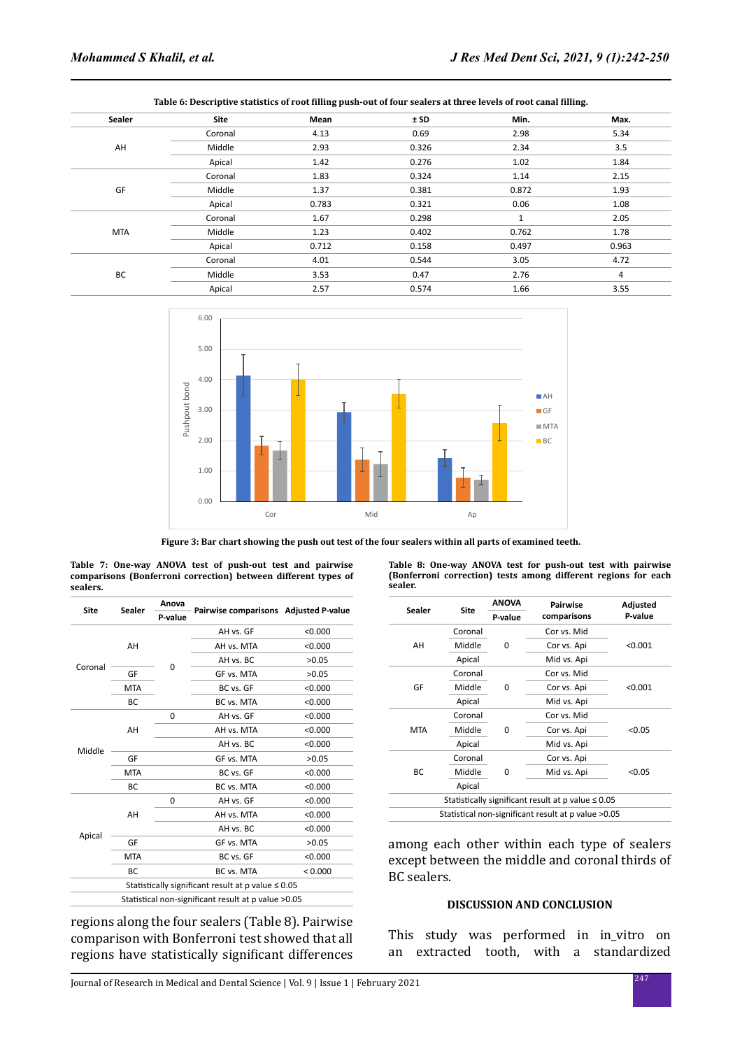| Sealer     | Site    | Mean  | ± SD  | Min.         | Max.  |
|------------|---------|-------|-------|--------------|-------|
|            | Coronal | 4.13  | 0.69  | 2.98         | 5.34  |
| AH         | Middle  | 2.93  | 0.326 | 2.34         | 3.5   |
|            | Apical  | 1.42  | 0.276 | 1.02         | 1.84  |
|            | Coronal | 1.83  | 0.324 | 1.14         | 2.15  |
| GF         | Middle  | 1.37  | 0.381 | 0.872        | 1.93  |
|            | Apical  | 0.783 | 0.321 | 0.06         | 1.08  |
|            | Coronal | 1.67  | 0.298 | $\mathbf{1}$ | 2.05  |
| <b>MTA</b> | Middle  | 1.23  | 0.402 | 0.762        | 1.78  |
|            | Apical  | 0.712 | 0.158 | 0.497        | 0.963 |
|            | Coronal | 4.01  | 0.544 | 3.05         | 4.72  |
| BC         | Middle  | 3.53  | 0.47  | 2.76         | 4     |
|            | Apical  | 2.57  | 0.574 | 1.66         | 3.55  |
|            |         |       |       |              |       |





**Figure 3: Bar chart showing the push out test of the four sealers within all parts of examined teeth.**

| Site    | Sealer     | Anova    |                                                         |         |
|---------|------------|----------|---------------------------------------------------------|---------|
|         |            | P-value  | Pairwise comparisons Adjusted P-value                   |         |
|         | AH         |          | AH vs. GF                                               | < 0.000 |
|         |            |          | AH vs. MTA                                              | < 0.000 |
| Coronal |            |          | AH vs. BC                                               | >0.05   |
|         | GF         | $\Omega$ | GF vs. MTA                                              | >0.05   |
|         | <b>MTA</b> |          | BC vs. GF                                               | < 0.000 |
|         | <b>BC</b>  |          | BC vs. MTA                                              | < 0.000 |
|         | AH         | 0        | AH vs. GF                                               | < 0.000 |
|         |            |          | AH vs. MTA                                              | < 0.000 |
|         |            |          | AH vs. BC                                               | < 0.000 |
| Middle  | GF         |          | GF vs. MTA                                              | >0.05   |
|         | <b>MTA</b> |          | BC vs. GF                                               | < 0.000 |
|         | <b>BC</b>  |          | BC vs. MTA                                              | < 0.000 |
|         |            | 0        | AH vs. GF                                               | < 0.000 |
|         | AH         |          | AH vs. MTA                                              | < 0.000 |
|         |            |          | AH vs. BC                                               | < 0.000 |
| Apical  | GF         |          | GF vs. MTA                                              | >0.05   |
|         | <b>MTA</b> |          | BC vs. GF                                               | < 0.000 |
|         | <b>BC</b>  |          | BC vs. MTA                                              | < 0.000 |
|         |            |          | Statistically significant result at p value $\leq 0.05$ |         |
|         |            |          | Statistical non-significant result at p value > 0.05    |         |

**Table 7: One-way ANOVA test of push-out test and pairwise comparisons (Bonferroni correction) between different types of** 

regions along the four sealers (Table 8). Pairwise comparison with Bonferroni test showed that all regions have statistically significant differences

**Table 8: One-way ANOVA test for push-out test with pairwise (Bonferroni correction) tests among different regions for each sealer.**

| Sealer     | <b>ANOVA</b><br>Site |         | Pairwise                                                  | Adjusted |
|------------|----------------------|---------|-----------------------------------------------------------|----------|
|            |                      | P-value | comparisons                                               | P-value  |
|            | Coronal              |         | Cor vs. Mid                                               |          |
| AH         | Middle               | 0       | Cor vs. Api                                               | < 0.001  |
|            | Apical               |         | Mid vs. Api                                               |          |
|            | Coronal              |         | Cor vs. Mid                                               |          |
| GF         | Middle               | 0       | Cor vs. Api                                               | < 0.001  |
|            | Apical               |         | Mid vs. Api                                               |          |
|            | Coronal              |         | Cor vs. Mid                                               |          |
| <b>MTA</b> | Middle               | 0       | Cor vs. Api                                               | < 0.05   |
|            | Apical               |         | Mid vs. Api                                               |          |
|            | Coronal              |         | Cor vs. Api                                               |          |
| BC         | Middle               | 0       | Mid vs. Api                                               | < 0.05   |
|            | Apical               |         |                                                           |          |
|            |                      |         | Statistically significant result at $p$ value $\leq 0.05$ |          |
|            |                      |         | Statistical non-significant result at p value >0.05       |          |

among each other within each type of sealers except between the middle and coronal thirds of BC sealers.

#### **DISCUSSION AND CONCLUSION**

This study was performed in in\_vitro on an extracted tooth, with a standardized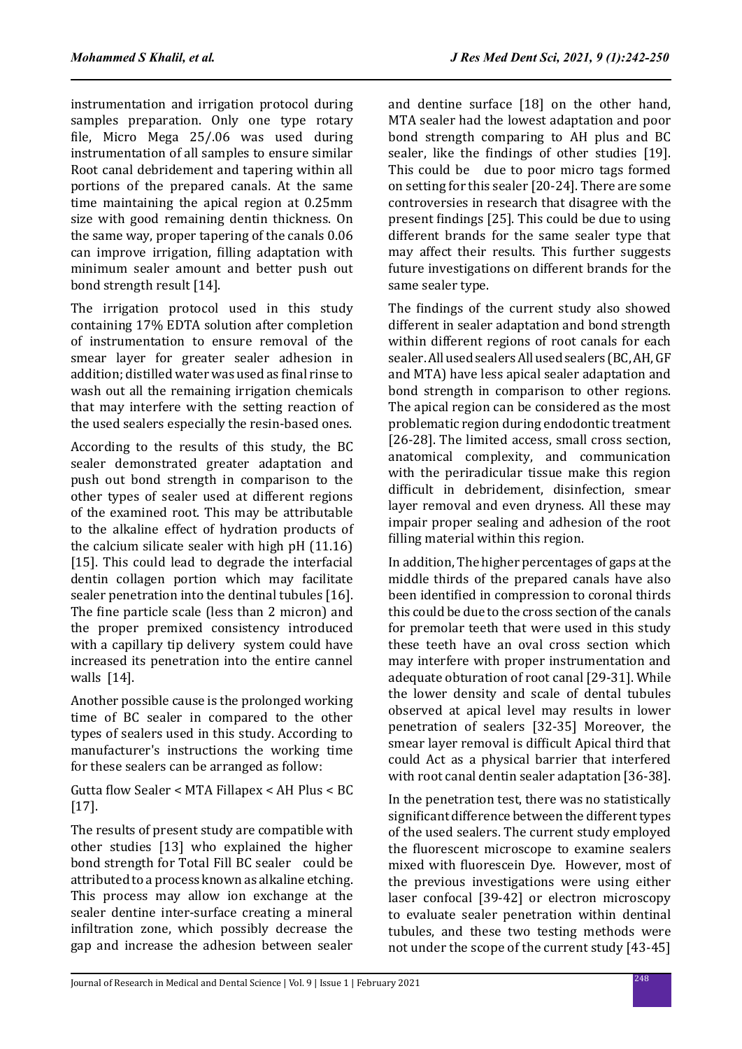instrumentation and irrigation protocol during samples preparation. Only one type rotary file, Micro Mega 25/.06 was used during instrumentation of all samples to ensure similar Root canal debridement and tapering within all portions of the prepared canals. At the same time maintaining the apical region at 0.25mm size with good remaining dentin thickness. On the same way, proper tapering of the canals 0.06 can improve irrigation, filling adaptation with minimum sealer amount and better push out bond strength result [14].

The irrigation protocol used in this study containing 17% EDTA solution after completion of instrumentation to ensure removal of the smear layer for greater sealer adhesion in addition; distilled water was used as final rinse to wash out all the remaining irrigation chemicals that may interfere with the setting reaction of the used sealers especially the resin-based ones.

According to the results of this study, the BC sealer demonstrated greater adaptation and push out bond strength in comparison to the other types of sealer used at different regions of the examined root. This may be attributable to the alkaline effect of hydration products of the calcium silicate sealer with high pH (11.16) [15]. This could lead to degrade the interfacial dentin collagen portion which may facilitate sealer penetration into the dentinal tubules [16]. The fine particle scale (less than 2 micron) and the proper premixed consistency introduced with a capillary tip delivery system could have increased its penetration into the entire cannel walls [14].

Another possible cause is the prolonged working time of BC sealer in compared to the other types of sealers used in this study. According to manufacturer's instructions the working time for these sealers can be arranged as follow:

Gutta flow Sealer < MTA Fillapex < AH Plus < BC [17].

The results of present study are compatible with other studies [13] who explained the higher bond strength for Total Fill BC sealer could be attributed to a process known as alkaline etching. This process may allow ion exchange at the sealer dentine inter-surface creating a mineral infiltration zone, which possibly decrease the gap and increase the adhesion between sealer and dentine surface [18] on the other hand, MTA sealer had the lowest adaptation and poor bond strength comparing to AH plus and BC sealer, like the findings of other studies [19]. This could be due to poor micro tags formed on setting for this sealer [20-24]. There are some controversies in research that disagree with the present findings [25]. This could be due to using different brands for the same sealer type that may affect their results. This further suggests future investigations on different brands for the same sealer type.

The findings of the current study also showed different in sealer adaptation and bond strength within different regions of root canals for each sealer. All used sealers All used sealers (BC, AH, GF and MTA) have less apical sealer adaptation and bond strength in comparison to other regions. The apical region can be considered as the most problematic region during endodontic treatment [26-28]. The limited access, small cross section, anatomical complexity, and communication with the periradicular tissue make this region difficult in debridement, disinfection, smear layer removal and even dryness. All these may impair proper sealing and adhesion of the root filling material within this region.

In addition, The higher percentages of gaps at the middle thirds of the prepared canals have also been identified in compression to coronal thirds this could be due to the cross section of the canals for premolar teeth that were used in this study these teeth have an oval cross section which may interfere with proper instrumentation and adequate obturation of root canal [29-31]. While the lower density and scale of dental tubules observed at apical level may results in lower penetration of sealers [32-35] Moreover, the smear layer removal is difficult Apical third that could Act as a physical barrier that interfered with root canal dentin sealer adaptation [36-38].

In the penetration test, there was no statistically significant difference between the different types of the used sealers. The current study employed the fluorescent microscope to examine sealers mixed with fluorescein Dye. However, most of the previous investigations were using either laser confocal [39-42] or electron microscopy to evaluate sealer penetration within dentinal tubules, and these two testing methods were not under the scope of the current study [43-45]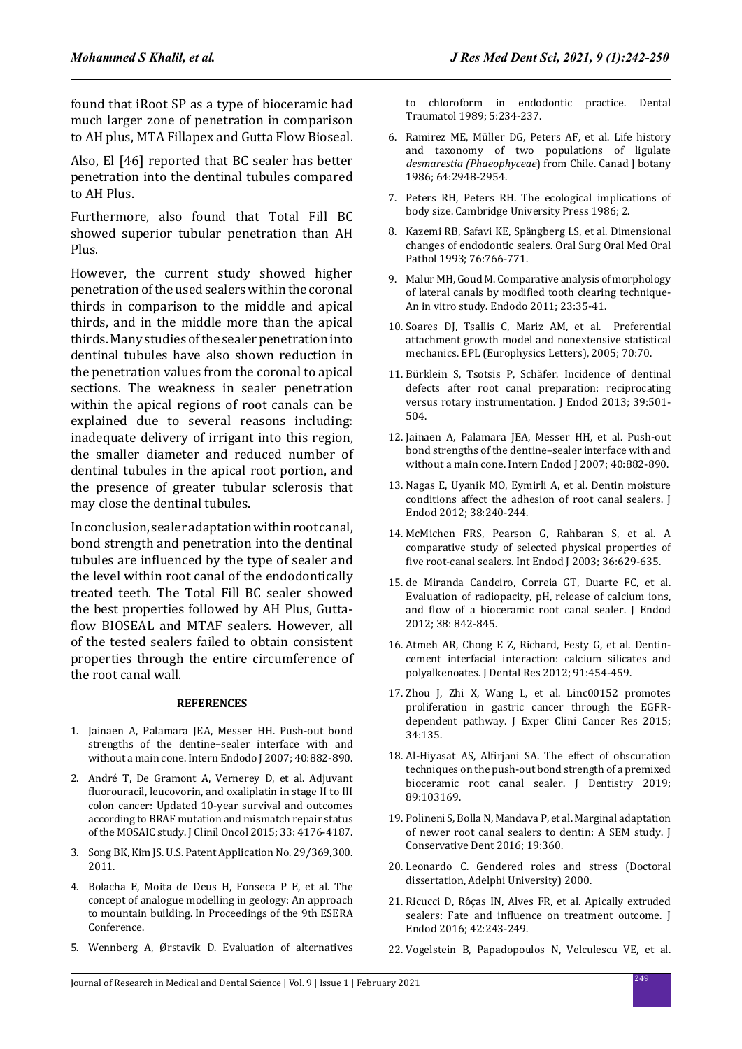found that iRoot SP as a type of bioceramic had much larger zone of penetration in comparison to AH plus, MTA Fillapex and Gutta Flow Bioseal.

Also, El [46] reported that BC sealer has better penetration into the dentinal tubules compared to AH Plus.

Furthermore, also found that Total Fill BC showed superior tubular penetration than AH Plus.

However, the current study showed higher penetration of the used sealers within the coronal thirds in comparison to the middle and apical thirds, and in the middle more than the apical thirds. Many studies of the sealer penetration into dentinal tubules have also shown reduction in the penetration values from the coronal to apical sections. The weakness in sealer penetration within the apical regions of root canals can be explained due to several reasons including: inadequate delivery of irrigant into this region, the smaller diameter and reduced number of dentinal tubules in the apical root portion, and the presence of greater tubular sclerosis that may close the dentinal tubules.

In conclusion, sealer adaptation within root canal, bond strength and penetration into the dentinal tubules are influenced by the type of sealer and the level within root canal of the endodontically treated teeth. The Total Fill BC sealer showed the best properties followed by AH Plus, Guttaflow BIOSEAL and MTAF sealers. However, all of the tested sealers failed to obtain consistent properties through the entire circumference of the root canal wall.

#### **REFERENCES**

- 1. Jainaen A, Palamara JEA, Messer HH. Push‐out bond strengths of the dentine–sealer interface with and without a main cone. Intern Endodo J 2007; 40:882-890.
- 2. André T, De Gramont A, Vernerey D, et al. Adjuvant fluorouracil, leucovorin, and oxaliplatin in stage II to III colon cancer: Updated 10-year survival and outcomes according to BRAF mutation and mismatch repair status of the MOSAIC study. J Clinil Oncol 2015; 33: 4176-4187.
- 3. Song BK, Kim JS. U.S. Patent Application No. 29/369,300. 2011.
- 4. Bolacha E, Moita de Deus H, Fonseca P E, et al. The concept of analogue modelling in geology: An approach to mountain building. In Proceedings of the 9th ESERA Conference.
- 5. Wennberg A, Ørstavik D. Evaluation of alternatives

to chloroform in endodontic practice. Dental Traumatol 1989; 5:234-237.

- 6. Ramirez ME, Müller DG, Peters AF, et al. Life history and taxonomy of two populations of ligulate *desmarestia (Phaeophyceae*) from Chile. Canad J botany 1986; 64:2948-2954.
- 7. Peters RH, Peters RH. The ecological implications of body size. Cambridge University Press 1986; 2.
- 8. Kazemi RB, Safavi KE, Spångberg LS, et al. Dimensional changes of endodontic sealers. Oral Surg Oral Med Oral Pathol 1993; 76:766-771.
- 9. Malur MH, Goud M. Comparative analysis of morphology of lateral canals by modified tooth clearing technique-An in vitro study. Endodo 2011; 23:35-41.
- 10. Soares DJ, Tsallis C, Mariz AM, et al. Preferential attachment growth model and nonextensive statistical mechanics. EPL (Europhysics Letters), 2005; 70:70.
- 11. Bürklein S, Tsotsis P, Schäfer. Incidence of dentinal defects after root canal preparation: reciprocating versus rotary instrumentation. J Endod 2013; 39:501- 504.
- 12. Jainaen A, Palamara JEA, Messer HH, et al. Push‐out bond strengths of the dentine–sealer interface with and without a main cone. Intern Endod J 2007; 40:882-890.
- 13. Nagas E, Uyanik MO, Eymirli A, et al. Dentin moisture conditions affect the adhesion of root canal sealers. J Endod 2012; 38:240-244.
- 14. McMichen FRS, Pearson G, Rahbaran S, et al. A comparative study of selected physical properties of five root-canal sealers. Int Endod J 2003; 36:629-635.
- 15. de Miranda Candeiro, Correia GT, Duarte FC, et al. Evaluation of radiopacity, pH, release of calcium ions, and flow of a bioceramic root canal sealer. J Endod 2012; 38: 842-845.
- 16. Atmeh AR, Chong E Z, Richard, Festy G, et al. Dentincement interfacial interaction: calcium silicates and polyalkenoates. J Dental Res 2012; 91:454-459.
- 17. Zhou J, Zhi X, Wang L, et al. Linc00152 promotes proliferation in gastric cancer through the EGFRdependent pathway. J Exper Clini Cancer Res 2015; 34:135.
- 18. Al-Hiyasat AS, Alfirjani SA. The effect of obscuration techniques on the push-out bond strength of a premixed bioceramic root canal sealer. J Dentistry 2019; 89:103169.
- 19. Polineni S, Bolla N, Mandava P, et al. Marginal adaptation of newer root canal sealers to dentin: A SEM study. J Conservative Dent 2016; 19:360.
- 20. Leonardo C. Gendered roles and stress (Doctoral dissertation, Adelphi University) 2000.
- 21. Ricucci D, Rôças IN, Alves FR, et al. Apically extruded sealers: Fate and influence on treatment outcome. J Endod 2016; 42:243-249.
- 22. Vogelstein B, Papadopoulos N, Velculescu VE, et al.